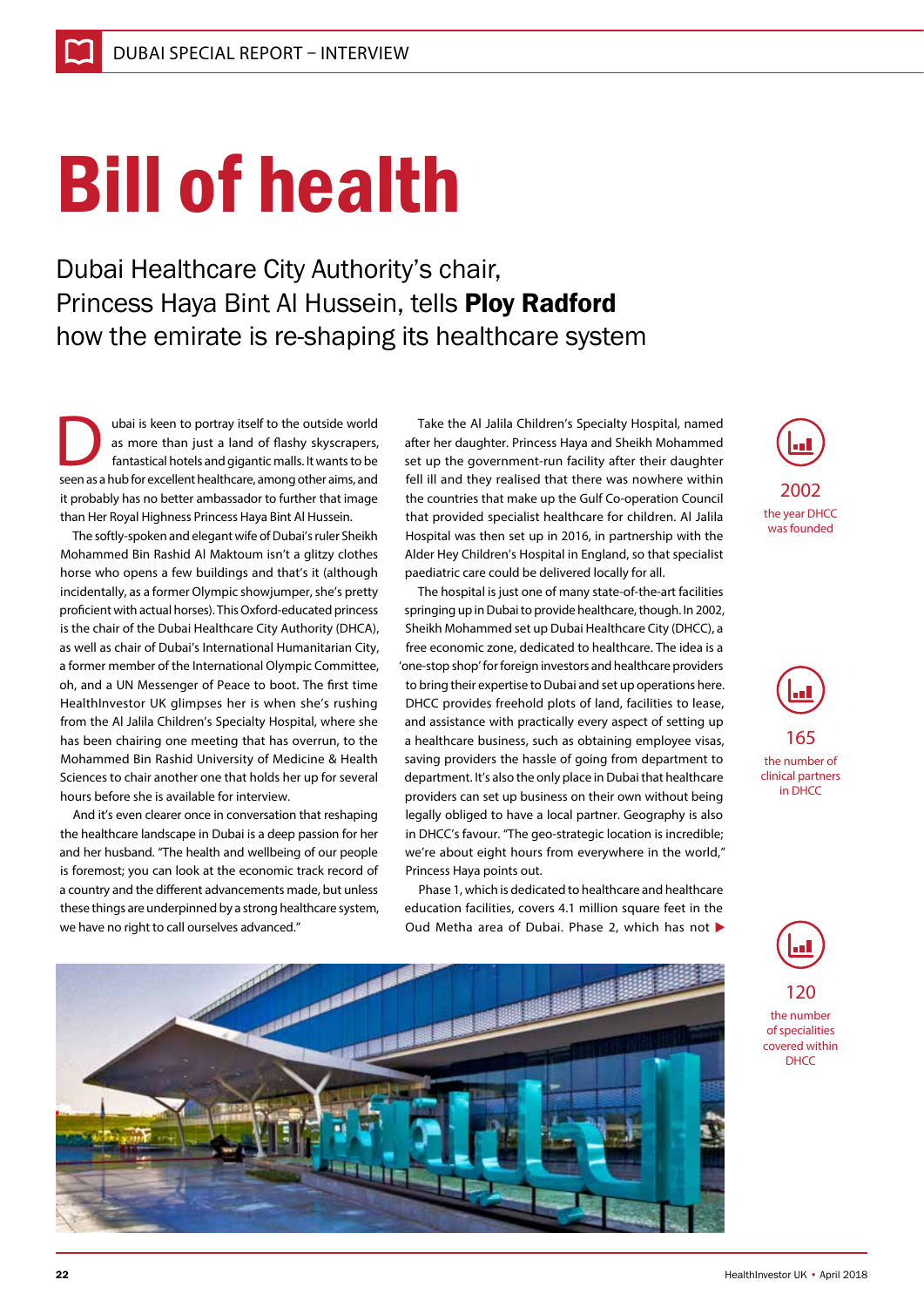## Bill of health

Dubai Healthcare City Authority's chair, Princess Haya Bint Al Hussein, tells Ploy Radford how the emirate is re-shaping its healthcare system

The ubai is keen to portray itself to the outside world<br>as more than just a land of flashy skyscrapers,<br>fantastical hotels and gigantic malls. It wants to be<br>seen as a bub for excellent healthcare among other aims and as more than just a land of flashy skyscrapers, fantastical hotels and gigantic malls. It wants to be seen as a hub for excellent healthcare, among other aims, and it probably has no better ambassador to further that image than Her Royal Highness Princess Haya Bint Al Hussein.

The softly-spoken and elegant wife of Dubai's ruler Sheikh Mohammed Bin Rashid Al Maktoum isn't a glitzy clothes horse who opens a few buildings and that's it (although incidentally, as a former Olympic showjumper, she's pretty proficient with actual horses). This Oxford-educated princess is the chair of the Dubai Healthcare City Authority (DHCA), as well as chair of Dubai's International Humanitarian City, a former member of the International Olympic Committee, oh, and a UN Messenger of Peace to boot. The first time HealthInvestor UK glimpses her is when she's rushing from the Al Jalila Children's Specialty Hospital, where she has been chairing one meeting that has overrun, to the Mohammed Bin Rashid University of Medicine & Health Sciences to chair another one that holds her up for several hours before she is available for interview.

And it's even clearer once in conversation that reshaping the healthcare landscape in Dubai is a deep passion for her and her husband. "The health and wellbeing of our people is foremost; you can look at the economic track record of a country and the different advancements made, but unless these things are underpinned by a strong healthcare system, we have no right to call ourselves advanced."

Take the Al Jalila Children's Specialty Hospital, named after her daughter. Princess Haya and Sheikh Mohammed set up the government-run facility after their daughter fell ill and they realised that there was nowhere within the countries that make up the Gulf Co-operation Council that provided specialist healthcare for children. Al Jalila Hospital was then set up in 2016, in partnership with the Alder Hey Children's Hospital in England, so that specialist paediatric care could be delivered locally for all.

The hospital is just one of many state-of-the-art facilities springing up in Dubai to provide healthcare, though. In 2002, Sheikh Mohammed set up Dubai Healthcare City (DHCC), a free economic zone, dedicated to healthcare. The idea is a 'one-stop shop' for foreign investors and healthcare providers to bring their expertise to Dubai and set up operations here. DHCC provides freehold plots of land, facilities to lease, and assistance with practically every aspect of setting up a healthcare business, such as obtaining employee visas, saving providers the hassle of going from department to department. It's also the only place in Dubai that healthcare providers can set up business on their own without being legally obliged to have a local partner. Geography is also in DHCC's favour. "The geo-strategic location is incredible; we're about eight hours from everywhere in the world," Princess Haya points out.

Phase 1, which is dedicated to healthcare and healthcare education facilities, covers 4.1 million square feet in the Oud Metha area of Dubai. Phase 2, which has not







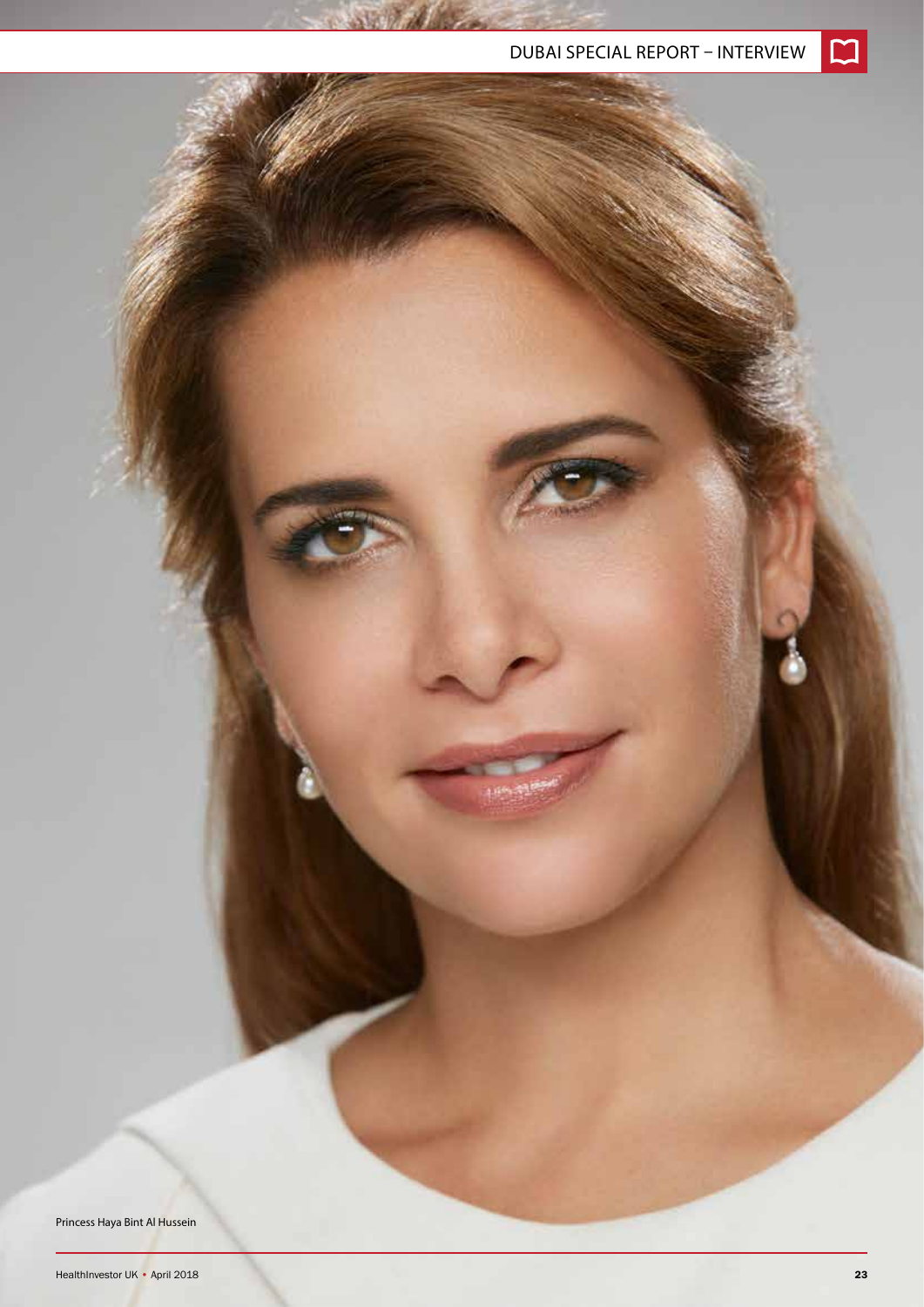Princess Haya Bint Al Hussein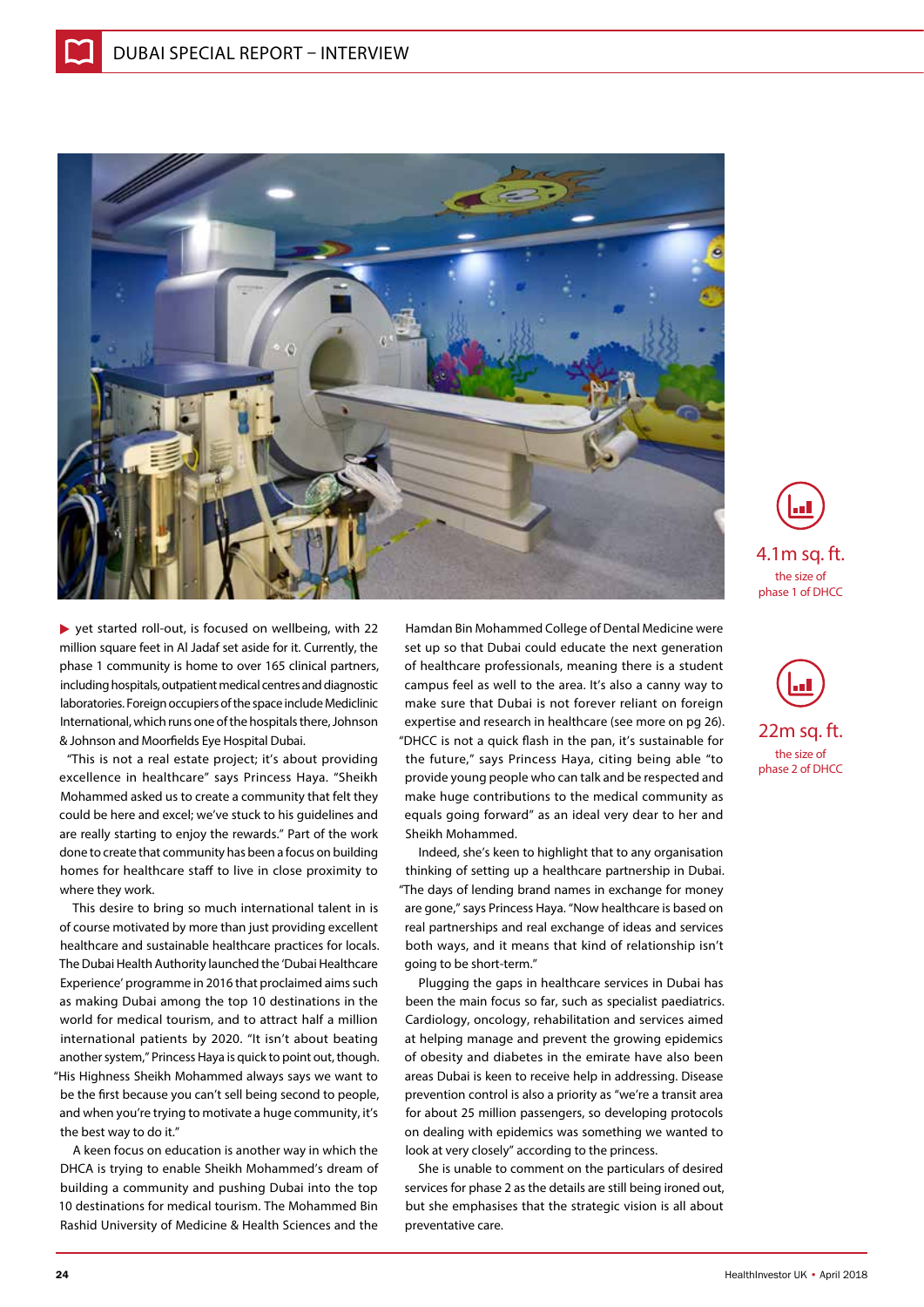

yet started roll-out, is focused on wellbeing, with 22 million square feet in Al Jadaf set aside for it. Currently, the phase 1 community is home to over 165 clinical partners, including hospitals, outpatient medical centres and diagnostic laboratories. Foreign occupiers of the space include Mediclinic International, which runs one of the hospitals there, Johnson & Johnson and Moorfields Eye Hospital Dubai.

"This is not a real estate project; it's about providing excellence in healthcare" says Princess Haya. "Sheikh Mohammed asked us to create a community that felt they could be here and excel; we've stuck to his guidelines and are really starting to enjoy the rewards." Part of the work done to create that community has been a focus on building homes for healthcare staff to live in close proximity to where they work.

This desire to bring so much international talent in is of course motivated by more than just providing excellent healthcare and sustainable healthcare practices for locals. The Dubai Health Authority launched the 'Dubai Healthcare Experience' programme in 2016 that proclaimed aims such as making Dubai among the top 10 destinations in the world for medical tourism, and to attract half a million international patients by 2020. "It isn't about beating another system," Princess Haya is quick to point out, though. "His Highness Sheikh Mohammed always says we want to be the first because you can't sell being second to people, and when you're trying to motivate a huge community, it's the best way to do it."

A keen focus on education is another way in which the DHCA is trying to enable Sheikh Mohammed's dream of building a community and pushing Dubai into the top 10 destinations for medical tourism. The Mohammed Bin Rashid University of Medicine & Health Sciences and the

Hamdan Bin Mohammed College of Dental Medicine were set up so that Dubai could educate the next generation of healthcare professionals, meaning there is a student campus feel as well to the area. It's also a canny way to make sure that Dubai is not forever reliant on foreign expertise and research in healthcare (see more on pg 26). "DHCC is not a quick flash in the pan, it's sustainable for the future," says Princess Haya, citing being able "to provide young people who can talk and be respected and make huge contributions to the medical community as equals going forward" as an ideal very dear to her and Sheikh Mohammed.

Indeed, she's keen to highlight that to any organisation thinking of setting up a healthcare partnership in Dubai. "The days of lending brand names in exchange for money are gone," says Princess Haya. "Now healthcare is based on real partnerships and real exchange of ideas and services both ways, and it means that kind of relationship isn't going to be short-term."

Plugging the gaps in healthcare services in Dubai has been the main focus so far, such as specialist paediatrics. Cardiology, oncology, rehabilitation and services aimed at helping manage and prevent the growing epidemics of obesity and diabetes in the emirate have also been areas Dubai is keen to receive help in addressing. Disease prevention control is also a priority as "we're a transit area for about 25 million passengers, so developing protocols on dealing with epidemics was something we wanted to look at very closely" according to the princess.

She is unable to comment on the particulars of desired services for phase 2 as the details are still being ironed out, but she emphasises that the strategic vision is all about preventative care.





the size of phase 2 of DHCC 22m sq. ft.